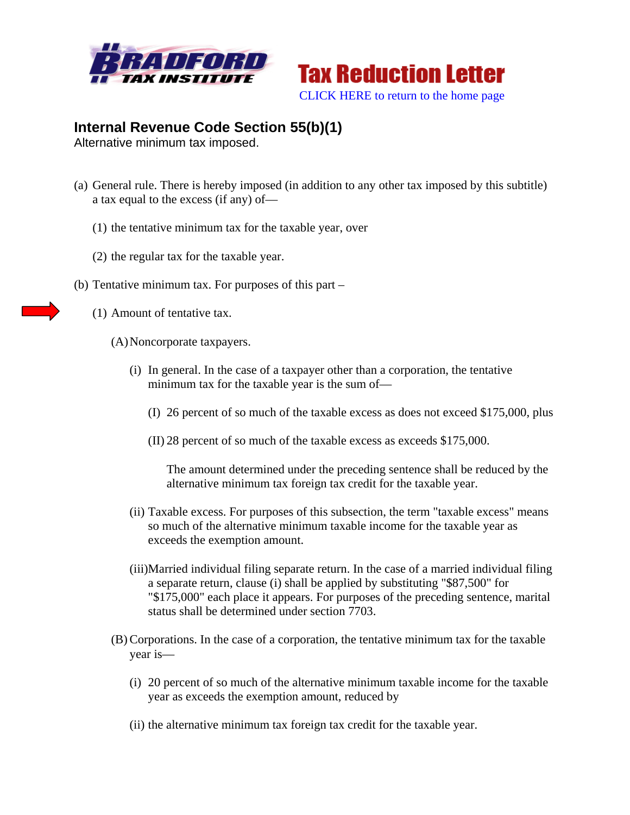



## **Internal Revenue Code Section 55(b)(1)**

Alternative minimum tax imposed.

- (a) General rule. There is hereby imposed (in addition to any other tax imposed by this subtitle) a tax equal to the excess (if any) of—
	- (1) the tentative minimum tax for the taxable year, over
	- (2) the regular tax for the taxable year.
- (b) Tentative minimum tax. For purposes of this part
	- (1) Amount of tentative tax.
		- (A)Noncorporate taxpayers.
			- (i) In general. In the case of a taxpayer other than a corporation, the tentative minimum tax for the taxable year is the sum of—
				- (I) 26 percent of so much of the taxable excess as does not exceed \$175,000, plus
				- (II) 28 percent of so much of the taxable excess as exceeds \$175,000.

The amount determined under the preceding sentence shall be reduced by the alternative minimum tax foreign tax credit for the taxable year.

- (ii) Taxable excess. For purposes of this subsection, the term "taxable excess" means so much of the alternative minimum taxable income for the taxable year as exceeds the exemption amount.
- (iii)Married individual filing separate return. In the case of a married individual filing a separate return, clause (i) shall be applied by substituting "\$87,500" for "\$175,000" each place it appears. For purposes of the preceding sentence, marital status shall be determined under section 7703.
- (B) Corporations. In the case of a corporation, the tentative minimum tax for the taxable year is—
	- (i) 20 percent of so much of the alternative minimum taxable income for the taxable year as exceeds the exemption amount, reduced by
	- (ii) the alternative minimum tax foreign tax credit for the taxable year.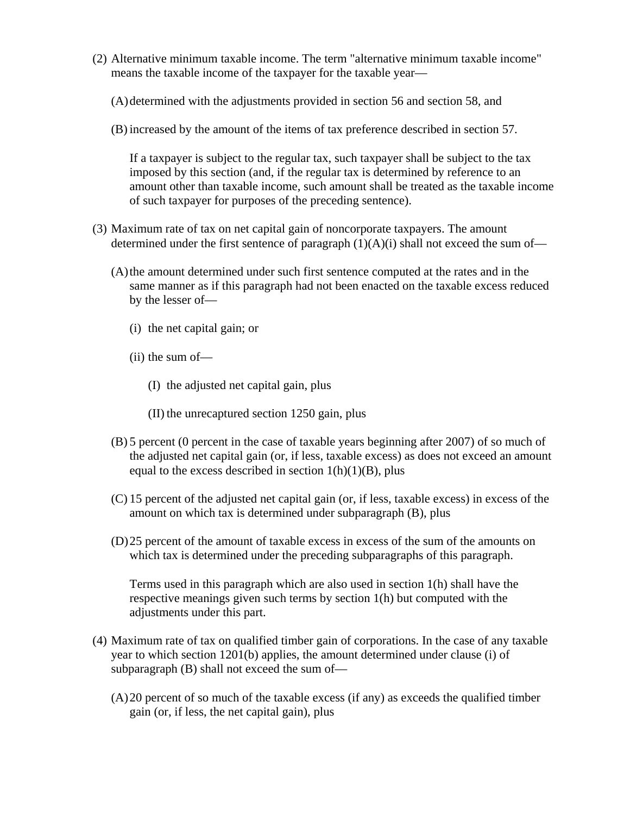- (2) Alternative minimum taxable income. The term "alternative minimum taxable income" means the taxable income of the taxpayer for the taxable year—
	- (A)determined with the adjustments provided in section 56 and section 58, and
	- (B) increased by the amount of the items of tax preference described in section 57.

If a taxpayer is subject to the regular tax, such taxpayer shall be subject to the tax imposed by this section (and, if the regular tax is determined by reference to an amount other than taxable income, such amount shall be treated as the taxable income of such taxpayer for purposes of the preceding sentence).

- (3) Maximum rate of tax on net capital gain of noncorporate taxpayers. The amount determined under the first sentence of paragraph  $(1)(A)(i)$  shall not exceed the sum of—
	- (A)the amount determined under such first sentence computed at the rates and in the same manner as if this paragraph had not been enacted on the taxable excess reduced by the lesser of—
		- (i) the net capital gain; or
		- (ii) the sum of—
			- (I) the adjusted net capital gain, plus
			- (II) the unrecaptured section 1250 gain, plus
	- (B) 5 percent (0 percent in the case of taxable years beginning after 2007) of so much of the adjusted net capital gain (or, if less, taxable excess) as does not exceed an amount equal to the excess described in section  $1(h)(1)(B)$ , plus
	- (C) 15 percent of the adjusted net capital gain (or, if less, taxable excess) in excess of the amount on which tax is determined under subparagraph (B), plus
	- (D)25 percent of the amount of taxable excess in excess of the sum of the amounts on which tax is determined under the preceding subparagraphs of this paragraph.

Terms used in this paragraph which are also used in section 1(h) shall have the respective meanings given such terms by section 1(h) but computed with the adjustments under this part.

- (4) Maximum rate of tax on qualified timber gain of corporations. In the case of any taxable year to which section 1201(b) applies, the amount determined under clause (i) of subparagraph (B) shall not exceed the sum of—
	- (A)20 percent of so much of the taxable excess (if any) as exceeds the qualified timber gain (or, if less, the net capital gain), plus